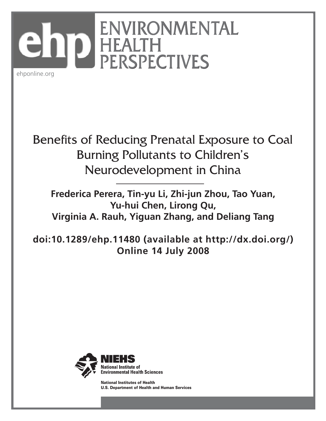

ehponline.org

# Benefits of Reducing Prenatal Exposure to Coal Burning Pollutants to Children ' s Neurodevelopment in China

**Frederica Perera, Tin-yu Li, Zhi-jun Zhou, Tao Yuan, Yu-hui Chen, Lirong Qu, Virginia A. Rauh, Yiguan Zhang, and Deliang Tang**

**doi:10.1289/ehp.11480 (available at http://dx.doi.org/) Online 14 July 2008**



National Institutes of Health U.S. Department of Health and Human Services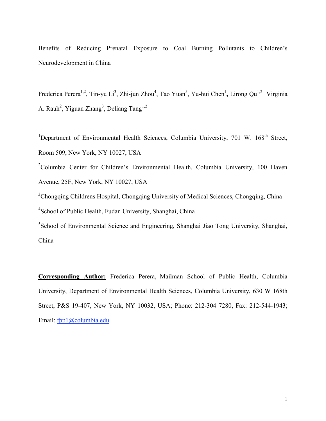Benefits of Reducing Prenatal Exposure to Coal Burning Pollutants to Children's Neurodevelopment in China

Frederica Perera<sup>1,2</sup>, Tin-yu Li<sup>3</sup>, Zhi-jun Zhou<sup>4</sup>, Tao Yuan<sup>5</sup>, Yu-hui Chen<sup>1</sup>, Lirong Qu<sup>1,2</sup> Virginia A. Rauh<sup>2</sup>, Yiguan Zhang<sup>3</sup>, Deliang Tang<sup>1,2</sup>

<sup>1</sup>Department of Environmental Health Sciences, Columbia University, 701 W. 168<sup>th</sup> Street, Room 509, New York, NY 10027, USA

<sup>2</sup>Columbia Center for Children's Environmental Health, Columbia University, 100 Haven Avenue, 25F, New York, NY 10027, USA

<sup>3</sup>Chongqing Childrens Hospital, Chongqing University of Medical Sciences, Chongqing, China 4 School of Public Health, Fudan University, Shanghai, China

<sup>5</sup>School of Environmental Science and Engineering, Shanghai Jiao Tong University, Shanghai, China

**Corresponding Author:** Frederica Perera, Mailman School of Public Health, Columbia University, Department of Environmental Health Sciences, Columbia University, 630 W 168th Street, P&S 19-407, New York, NY 10032, USA; Phone: 212-304 7280, Fax: 212-544-1943; Email: fpp1@columbia.edu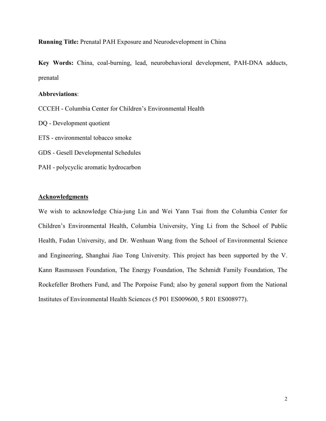**Running Title:** Prenatal PAH Exposure and Neurodevelopment in China

**Key Words:** China, coal-burning, lead, neurobehavioral development, PAH-DNA adducts, prenatal

## **Abbreviations**:

- CCCEH Columbia Center for Children's Environmental Health
- DQ Development quotient
- ETS environmental tobacco smoke
- GDS Gesell Developmental Schedules
- PAH polycyclic aromatic hydrocarbon

## **Acknowledgments**

We wish to acknowledge Chia-jung Lin and Wei Yann Tsai from the Columbia Center for Children's Environmental Health, Columbia University, Ying Li from the School of Public Health, Fudan University, and Dr. Wenhuan Wang from the School of Environmental Science and Engineering, Shanghai Jiao Tong University. This project has been supported by the V. Kann Rasmussen Foundation, The Energy Foundation, The Schmidt Family Foundation, The Rockefeller Brothers Fund, and The Porpoise Fund; also by general support from the National Institutes of Environmental Health Sciences (5 P01 ES009600, 5 R01 ES008977).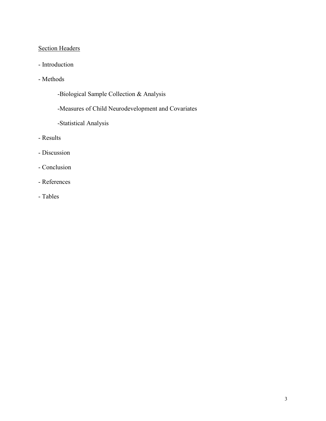# Section Headers

- Introduction
- Methods
	- -Biological Sample Collection & Analysis
	- -Measures of Child Neurodevelopment and Covariates
	- -Statistical Analysis
- Results
- Discussion
- Conclusion
- References
- Tables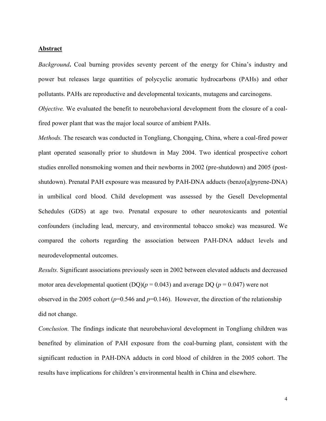#### **Abstract**

*Background***.** Coal burning provides seventy percent of the energy for China's industry and power but releases large quantities of polycyclic aromatic hydrocarbons (PAHs) and other pollutants. PAHs are reproductive and developmental toxicants, mutagens and carcinogens.

*Objective.* We evaluated the benefit to neurobehavioral development from the closure of a coalfired power plant that was the major local source of ambient PAHs.

*Methods.* The research was conducted in Tongliang, Chongqing, China, where a coal-fired power plant operated seasonally prior to shutdown in May 2004. Two identical prospective cohort studies enrolled nonsmoking women and their newborns in 2002 (pre-shutdown) and 2005 (postshutdown). Prenatal PAH exposure was measured by PAH-DNA adducts (benzo[a]pyrene-DNA) in umbilical cord blood. Child development was assessed by the Gesell Developmental Schedules (GDS) at age two. Prenatal exposure to other neurotoxicants and potential confounders (including lead, mercury, and environmental tobacco smoke) was measured. We compared the cohorts regarding the association between PAH-DNA adduct levels and neurodevelopmental outcomes.

*Results.* Significant associations previously seen in 2002 between elevated adducts and decreased motor area developmental quotient (DQ)( $p = 0.043$ ) and average DQ ( $p = 0.047$ ) were not observed in the 2005 cohort ( $p=0.546$  and  $p=0.146$ ). However, the direction of the relationship did not change.

*Conclusion.* The findings indicate that neurobehavioral development in Tongliang children was benefited by elimination of PAH exposure from the coal-burning plant, consistent with the significant reduction in PAH-DNA adducts in cord blood of children in the 2005 cohort. The results have implications for children's environmental health in China and elsewhere.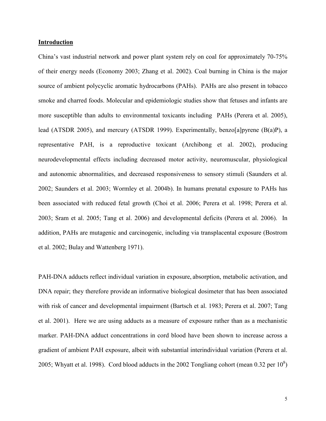#### **Introduction**

China's vast industrial network and power plant system rely on coal for approximately 70-75% of their energy needs (Economy 2003; Zhang et al. 2002). Coal burning in China is the major source of ambient polycyclic aromatic hydrocarbons (PAHs). PAHs are also present in tobacco smoke and charred foods. Molecular and epidemiologic studies show that fetuses and infants are more susceptible than adults to environmental toxicants including PAHs (Perera et al. 2005), lead (ATSDR 2005), and mercury (ATSDR 1999). Experimentally, benzo[a]pyrene (B(a)P), a representative PAH, is a reproductive toxicant (Archibong et al. 2002), producing neurodevelopmental effects including decreased motor activity, neuromuscular, physiological and autonomic abnormalities, and decreased responsiveness to sensory stimuli (Saunders et al. 2002; Saunders et al. 2003; Wormley et al. 2004b). In humans prenatal exposure to PAHs has been associated with reduced fetal growth (Choi et al. 2006; Perera et al. 1998; Perera et al. 2003; Sram et al. 2005; Tang et al. 2006) and developmental deficits (Perera et al. 2006). In addition, PAHs are mutagenic and carcinogenic, including via transplacental exposure (Bostrom et al. 2002; Bulay and Wattenberg 1971).

PAH-DNA adducts reflect individual variation in exposure, absorption, metabolic activation, and DNA repair; they therefore provide an informative biological dosimeter that has been associated with risk of cancer and developmental impairment (Bartsch et al. 1983; Perera et al. 2007; Tang et al. 2001). Here we are using adducts as a measure of exposure rather than as a mechanistic marker. PAH-DNA adduct concentrations in cord blood have been shown to increase across a gradient of ambient PAH exposure, albeit with substantial interindividual variation (Perera et al. 2005; Whyatt et al. 1998). Cord blood adducts in the 2002 Tongliang cohort (mean 0.32 per  $10^8$ )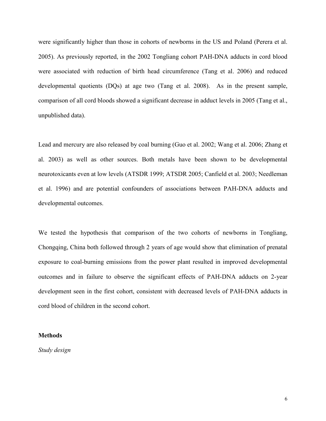were significantly higher than those in cohorts of newborns in the US and Poland (Perera et al. 2005). As previously reported, in the 2002 Tongliang cohort PAH-DNA adducts in cord blood were associated with reduction of birth head circumference (Tang et al. 2006) and reduced developmental quotients (DQs) at age two (Tang et al. 2008). As in the present sample, comparison of all cord bloods showed a significant decrease in adduct levels in 2005 (Tang et al., unpublished data).

Lead and mercury are also released by coal burning (Guo et al. 2002; Wang et al. 2006; Zhang et al. 2003) as well as other sources. Both metals have been shown to be developmental neurotoxicants even at low levels (ATSDR 1999; ATSDR 2005; Canfield et al. 2003; Needleman et al. 1996) and are potential confounders of associations between PAH-DNA adducts and developmental outcomes.

We tested the hypothesis that comparison of the two cohorts of newborns in Tongliang, Chongqing, China both followed through 2 years of age would show that elimination of prenatal exposure to coal-burning emissions from the power plant resulted in improved developmental outcomes and in failure to observe the significant effects of PAH-DNA adducts on 2-year development seen in the first cohort, consistent with decreased levels of PAH-DNA adducts in cord blood of children in the second cohort.

#### **Methods**

*Study design*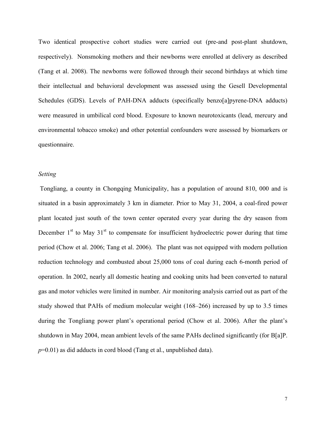Two identical prospective cohort studies were carried out (pre-and post-plant shutdown, respectively). Nonsmoking mothers and their newborns were enrolled at delivery as described (Tang et al. 2008). The newborns were followed through their second birthdays at which time their intellectual and behavioral development was assessed using the Gesell Developmental Schedules (GDS). Levels of PAH-DNA adducts (specifically benzo[a]pyrene-DNA adducts) were measured in umbilical cord blood. Exposure to known neurotoxicants (lead, mercury and environmental tobacco smoke) and other potential confounders were assessed by biomarkers or questionnaire.

#### *Setting*

Tongliang, a county in Chongqing Municipality, has a population of around 810, 000 and is situated in a basin approximately 3 km in diameter. Prior to May 31, 2004, a coal-fired power plant located just south of the town center operated every year during the dry season from December  $1<sup>st</sup>$  to May  $31<sup>st</sup>$  to compensate for insufficient hydroelectric power during that time period (Chow et al. 2006; Tang et al. 2006). The plant was not equipped with modern pollution reduction technology and combusted about 25,000 tons of coal during each 6-month period of operation. In 2002, nearly all domestic heating and cooking units had been converted to natural gas and motor vehicles were limited in number. Air monitoring analysis carried out as part of the study showed that PAHs of medium molecular weight (168–266) increased by up to 3.5 times during the Tongliang power plant's operational period (Chow et al. 2006). After the plant's shutdown in May 2004, mean ambient levels of the same PAHs declined significantly (for B[a]P. *p*=0.01) as did adducts in cord blood (Tang et al., unpublished data).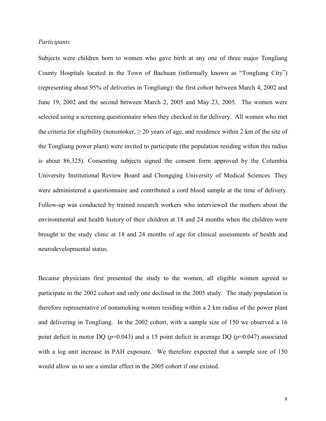#### *Participants*

Subjects were children born to women who gave birth at any one of three major Tongliang County Hospitals located in the Town of Bachuan (informally known as "Tongliang City") (representing about 95% of deliveries in Tongliang): the first cohort between March 4, 2002 and June 19, 2002 and the second between March 2, 2005 and May 23, 2005. The women were selected using a screening questionnaire when they checked in for delivery. All women who met the criteria for eligibility (nonsmoker,  $\geq 20$  years of age, and residence within 2 km of the site of the Tongliang power plant) were invited to participate (the population residing within this radius is about 86,325). Consenting subjects signed the consent form approved by the Columbia University Institutional Review Board and Chongqing University of Medical Sciences. They were administered a questionnaire and contributed a cord blood sample at the time of delivery. Follow-up was conducted by trained research workers who interviewed the mothers about the environmental and health history of their children at 18 and 24 months when the children were brought to the study clinic at 18 and 24 months of age for clinical assessments of health and neurodevelopmental status.

Because physicians first presented the study to the women, all eligible women agreed to participate in the 2002 cohort and only one declined in the 2005 study. The study population is therefore representative of nonsmoking women residing within a 2 km radius of the power plant and delivering in Tongliang. In the 2002 cohort, with a sample size of 150 we observed a 16 point deficit in motor DQ (*p*=0.043) and a 15 point deficit in average DQ (*p*=0.047) associated with a log unit increase in PAH exposure. We therefore expected that a sample size of 150 would allow us to see a similar effect in the 2005 cohort if one existed.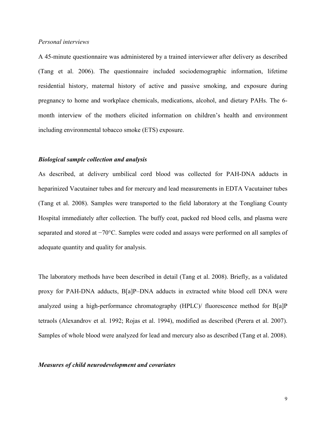#### *Personal interviews*

A 45-minute questionnaire was administered by a trained interviewer after delivery as described (Tang et al. 2006). The questionnaire included sociodemographic information, lifetime residential history, maternal history of active and passive smoking, and exposure during pregnancy to home and workplace chemicals, medications, alcohol, and dietary PAHs. The 6 month interview of the mothers elicited information on children's health and environment including environmental tobacco smoke (ETS) exposure.

#### *Biological sample collection and analysis*

As described, at delivery umbilical cord blood was collected for PAH-DNA adducts in heparinized Vacutainer tubes and for mercury and lead measurements in EDTA Vacutainer tubes (Tang et al. 2008). Samples were transported to the field laboratory at the Tongliang County Hospital immediately after collection. The buffy coat, packed red blood cells, and plasma were separated and stored at  $-70^{\circ}$ C. Samples were coded and assays were performed on all samples of adequate quantity and quality for analysis.

The laboratory methods have been described in detail (Tang et al. 2008). Briefly, as a validated proxy for PAH-DNA adducts, B[a]P–DNA adducts in extracted white blood cell DNA were analyzed using a high-performance chromatography (HPLC)/ fluorescence method for B[a]P tetraols (Alexandrov et al. 1992; Rojas et al. 1994), modified as described (Perera et al. 2007). Samples of whole blood were analyzed for lead and mercury also as described (Tang et al. 2008).

#### *Measures of child neurodevelopment and covariates*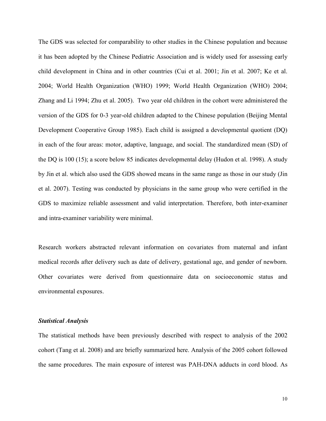The GDS was selected for comparability to other studies in the Chinese population and because it has been adopted by the Chinese Pediatric Association and is widely used for assessing early child development in China and in other countries (Cui et al. 2001; Jin et al. 2007; Ke et al. 2004; World Health Organization (WHO) 1999; World Health Organization (WHO) 2004; Zhang and Li 1994; Zhu et al. 2005). Two year old children in the cohort were administered the version of the GDS for 0-3 year-old children adapted to the Chinese population (Beijing Mental Development Cooperative Group 1985). Each child is assigned a developmental quotient (DQ) in each of the four areas: motor, adaptive, language, and social. The standardized mean (SD) of the DQ is 100 (15); a score below 85 indicates developmental delay (Hudon et al. 1998). A study by Jin et al. which also used the GDS showed means in the same range as those in our study (Jin et al. 2007). Testing was conducted by physicians in the same group who were certified in the GDS to maximize reliable assessment and valid interpretation. Therefore, both inter-examiner and intra-examiner variability were minimal.

Research workers abstracted relevant information on covariates from maternal and infant medical records after delivery such as date of delivery, gestational age, and gender of newborn. Other covariates were derived from questionnaire data on socioeconomic status and environmental exposures.

#### *Statistical Analysis*

The statistical methods have been previously described with respect to analysis of the 2002 cohort (Tang et al. 2008) and are briefly summarized here. Analysis of the 2005 cohort followed the same procedures. The main exposure of interest was PAH-DNA adducts in cord blood. As

10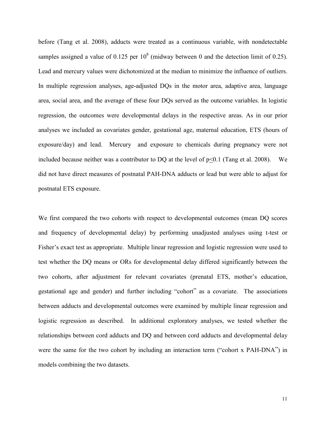before (Tang et al. 2008), adducts were treated as a continuous variable, with nondetectable samples assigned a value of 0.125 per  $10^8$  (midway between 0 and the detection limit of 0.25). Lead and mercury values were dichotomized at the median to minimize the influence of outliers. In multiple regression analyses, age-adjusted DQs in the motor area, adaptive area, language area, social area, and the average of these four DQs served as the outcome variables. In logistic regression, the outcomes were developmental delays in the respective areas. As in our prior analyses we included as covariates gender, gestational age, maternal education, ETS (hours of exposure/day) and lead. Mercury and exposure to chemicals during pregnancy were not included because neither was a contributor to DQ at the level of  $p<0.1$  (Tang et al. 2008). We did not have direct measures of postnatal PAH-DNA adducts or lead but were able to adjust for postnatal ETS exposure.

We first compared the two cohorts with respect to developmental outcomes (mean DQ scores and frequency of developmental delay) by performing unadjusted analyses using t-test or Fisher's exact test as appropriate. Multiple linear regression and logistic regression were used to test whether the DQ means or ORs for developmental delay differed significantly between the two cohorts, after adjustment for relevant covariates (prenatal ETS, mother's education, gestational age and gender) and further including "cohort" as a covariate. The associations between adducts and developmental outcomes were examined by multiple linear regression and logistic regression as described. In additional exploratory analyses, we tested whether the relationships between cord adducts and DQ and between cord adducts and developmental delay were the same for the two cohort by including an interaction term ("cohort x PAH-DNA") in models combining the two datasets.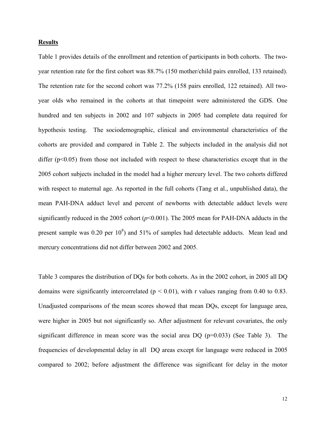#### **Results**

Table 1 provides details of the enrollment and retention of participants in both cohorts. The twoyear retention rate for the first cohort was 88.7% (150 mother/child pairs enrolled, 133 retained). The retention rate for the second cohort was 77.2% (158 pairs enrolled, 122 retained). All twoyear olds who remained in the cohorts at that timepoint were administered the GDS. One hundred and ten subjects in 2002 and 107 subjects in 2005 had complete data required for hypothesis testing. The sociodemographic, clinical and environmental characteristics of the cohorts are provided and compared in Table 2. The subjects included in the analysis did not differ  $(p<0.05)$  from those not included with respect to these characteristics except that in the 2005 cohort subjects included in the model had a higher mercury level. The two cohorts differed with respect to maternal age. As reported in the full cohorts (Tang et al., unpublished data), the mean PAH-DNA adduct level and percent of newborns with detectable adduct levels were significantly reduced in the 2005 cohort  $(p<0.001)$ . The 2005 mean for PAH-DNA adducts in the present sample was 0.20 per  $10^8$ ) and 51% of samples had detectable adducts. Mean lead and mercury concentrations did not differ between 2002 and 2005.

Table 3 compares the distribution of DQs for both cohorts. As in the 2002 cohort, in 2005 all DQ domains were significantly intercorrelated ( $p < 0.01$ ), with r values ranging from 0.40 to 0.83. Unadjusted comparisons of the mean scores showed that mean DQs, except for language area, were higher in 2005 but not significantly so. After adjustment for relevant covariates, the only significant difference in mean score was the social area DQ  $(p=0.033)$  (See Table 3). The frequencies of developmental delay in all DQ areas except for language were reduced in 2005 compared to 2002; before adjustment the difference was significant for delay in the motor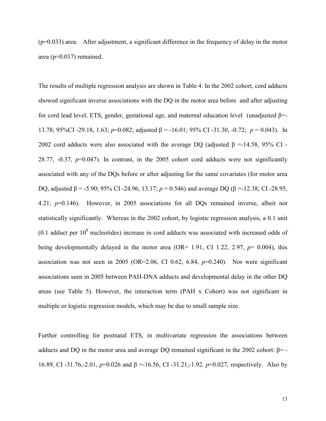$(p=0.033)$  area. After adjustment, a significant difference in the frequency of delay in the motor area (p=0.017) remained.

The results of multiple regression analysis are shown in Table 4. In the 2002 cohort, cord adducts showed significant inverse associations with the DQ in the motor area before and after adjusting for cord lead level, ETS, gender, gestational age, and maternal education level (unadjusted  $\beta$ =-13.78; 95%CI -29.18, 1.63;  $p=0.082$ ; adjusted  $\beta = -16.01$ ; 95% CI -31.30, -0.72;  $p = 0.043$ ). In 2002 cord adducts were also associated with the average DQ (adjusted  $\beta = -14.58$ , 95% CI -28.77, -0.37, *p*=0.047). In contrast, in the 2005 cohort cord adducts were not significantly associated with any of the DQs before or after adjusting for the same covariates (for motor area DQ, adjusted  $\beta$  = -5.90; 95% CI -24.96, 13.17;  $p = 0.546$ ) and average DQ ( $\beta$  =-12.38; CI -28.95, 4.21; *p*=0.146). However, in 2005 associations for all DQs remained inverse, albeit not statistically significantly. Whereas in the 2002 cohort, by logistic regression analysis, a 0.1 unit  $(0.1$  adduct per  $10<sup>8</sup>$  nucleotides) increase in cord adducts was associated with increased odds of being developmentally delayed in the motor area (OR= 1.91, CI 1.22, 2.97, *p*= 0.004), this association was not seen in 2005 (OR=2.06, CI 0.62, 6.84,  $p=0.240$ ). Nor were significant associations seen in 2005 between PAH-DNA adducts and developmental delay in the other DQ areas (see Table 5). However, the interaction term (PAH x Cohort) was not significant in multiple or logistic regression models, which may be due to small sample size.

Further controlling for postnatal ETS, in multivariate regression the associations between adducts and DQ in the motor area and average DQ remained significant in the 2002 cohort:  $\beta$ = -16.89, CI -31.76,-2.01,  $p=0.026$  and  $\beta = -16.56$ , CI -31.21,-1.92.  $p=0.027$ , respectively. Also by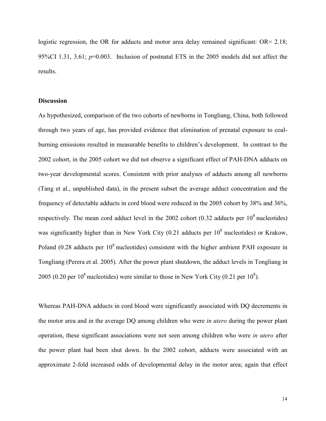logistic regression, the OR for adducts and motor area delay remained significant: OR= 2.18; 95%CI 1.31, 3.61; *p*=0.003. Inclusion of postnatal ETS in the 2005 models did not affect the results.

### **Discussion**

As hypothesized, comparison of the two cohorts of newborns in Tongliang, China, both followed through two years of age, has provided evidence that elimination of prenatal exposure to coalburning emissions resulted in measurable benefits to children's development. In contrast to the 2002 cohort, in the 2005 cohort we did not observe a significant effect of PAH-DNA adducts on two-year developmental scores. Consistent with prior analyses of adducts among all newborns (Tang et al., unpublished data), in the present subset the average adduct concentration and the frequency of detectable adducts in cord blood were reduced in the 2005 cohort by 38% and 36%, respectively. The mean cord adduct level in the 2002 cohort  $(0.32 \text{ adducts per } 10^8 \text{ nucleotides})$ was significantly higher than in New York City  $(0.21)$  adducts per  $10^8$  nucleotides) or Krakow, Poland (0.28 adducts per  $10^8$  nucleotides) consistent with the higher ambient PAH exposure in Tongliang (Perera et al. 2005). After the power plant shutdown, the adduct levels in Tongliang in 2005 (0.20 per  $10^8$  nucleotides) were similar to those in New York City (0.21 per  $10^8$ ).

Whereas PAH-DNA adducts in cord blood were significantly associated with DQ decrements in the motor area and in the average DQ among children who were *in utero* during the power plant operation, these significant associations were not seen among children who were *in utero* after the power plant had been shut down. In the 2002 cohort, adducts were associated with an approximate 2-fold increased odds of developmental delay in the motor area; again that effect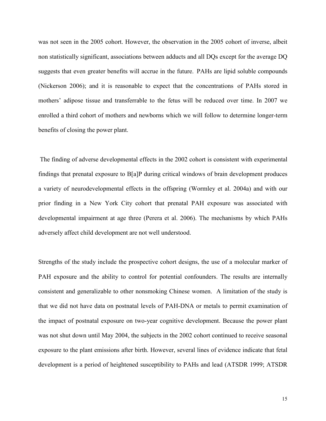was not seen in the 2005 cohort. However, the observation in the 2005 cohort of inverse, albeit non statistically significant, associations between adducts and all DQs except for the average DQ suggests that even greater benefits will accrue in the future. PAHs are lipid soluble compounds (Nickerson 2006); and it is reasonable to expect that the concentrations of PAHs stored in mothers' adipose tissue and transferrable to the fetus will be reduced over time. In 2007 we enrolled a third cohort of mothers and newborns which we will follow to determine longer-term benefits of closing the power plant.

The finding of adverse developmental effects in the 2002 cohort is consistent with experimental findings that prenatal exposure to B[a]P during critical windows of brain development produces a variety of neurodevelopmental effects in the offspring (Wormley et al. 2004a) and with our prior finding in a New York City cohort that prenatal PAH exposure was associated with developmental impairment at age three (Perera et al. 2006). The mechanisms by which PAHs adversely affect child development are not well understood.

Strengths of the study include the prospective cohort designs, the use of a molecular marker of PAH exposure and the ability to control for potential confounders. The results are internally consistent and generalizable to other nonsmoking Chinese women. A limitation of the study is that we did not have data on postnatal levels of PAH-DNA or metals to permit examination of the impact of postnatal exposure on two-year cognitive development. Because the power plant was not shut down until May 2004, the subjects in the 2002 cohort continued to receive seasonal exposure to the plant emissions after birth. However, several lines of evidence indicate that fetal development is a period of heightened susceptibility to PAHs and lead (ATSDR 1999; ATSDR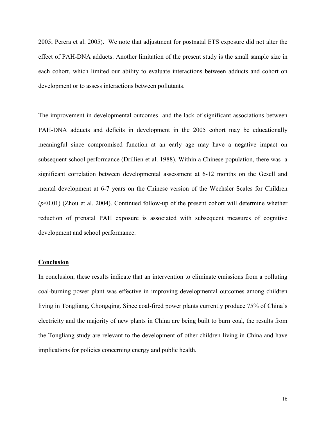2005; Perera et al. 2005). We note that adjustment for postnatal ETS exposure did not alter the effect of PAH-DNA adducts. Another limitation of the present study is the small sample size in each cohort, which limited our ability to evaluate interactions between adducts and cohort on development or to assess interactions between pollutants.

The improvement in developmental outcomes and the lack of significant associations between PAH-DNA adducts and deficits in development in the 2005 cohort may be educationally meaningful since compromised function at an early age may have a negative impact on subsequent school performance (Drillien et al. 1988). Within a Chinese population, there was a significant correlation between developmental assessment at 6-12 months on the Gesell and mental development at 6-7 years on the Chinese version of the Wechsler Scales for Children (*p*<0.01) (Zhou et al. 2004). Continued follow-up of the present cohort will determine whether reduction of prenatal PAH exposure is associated with subsequent measures of cognitive development and school performance.

#### **Conclusion**

In conclusion, these results indicate that an intervention to eliminate emissions from a polluting coal-burning power plant was effective in improving developmental outcomes among children living in Tongliang, Chongqing. Since coal-fired power plants currently produce 75% of China's electricity and the majority of new plants in China are being built to burn coal, the results from the Tongliang study are relevant to the development of other children living in China and have implications for policies concerning energy and public health.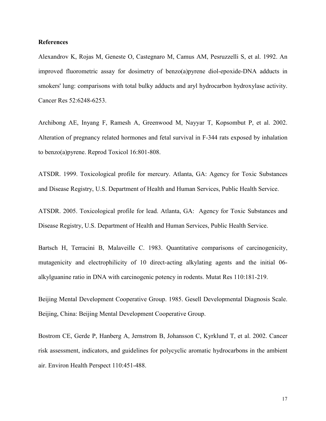#### **References**

Alexandrov K, Rojas M, Geneste O, Castegnaro M, Camus AM, Pesruzzelli S, et al. 1992. An improved fluorometric assay for dosimetry of benzo(a)pyrene diol-epoxide-DNA adducts in smokers' lung: comparisons with total bulky adducts and aryl hydrocarbon hydroxylase activity. Cancer Res 52:6248-6253.

Archibong AE, Inyang F, Ramesh A, Greenwood M, Nayyar T, Kopsombut P, et al. 2002. Alteration of pregnancy related hormones and fetal survival in F-344 rats exposed by inhalation to benzo(a)pyrene. Reprod Toxicol 16:801-808.

ATSDR. 1999. Toxicological profile for mercury. Atlanta, GA: Agency for Toxic Substances and Disease Registry, U.S. Department of Health and Human Services, Public Health Service.

ATSDR. 2005. Toxicological profile for lead. Atlanta, GA: Agency for Toxic Substances and Disease Registry, U.S. Department of Health and Human Services, Public Health Service.

Bartsch H, Terracini B, Malaveille C. 1983. Quantitative comparisons of carcinogenicity, mutagenicity and electrophilicity of 10 direct-acting alkylating agents and the initial 06 alkylguanine ratio in DNA with carcinogenic potency in rodents. Mutat Res 110:181-219.

Beijing Mental Development Cooperative Group. 1985. Gesell Developmental Diagnosis Scale. Beijing, China: Beijing Mental Development Cooperative Group.

Bostrom CE, Gerde P, Hanberg A, Jernstrom B, Johansson C, Kyrklund T, et al. 2002. Cancer risk assessment, indicators, and guidelines for polycyclic aromatic hydrocarbons in the ambient air. Environ Health Perspect 110:451-488.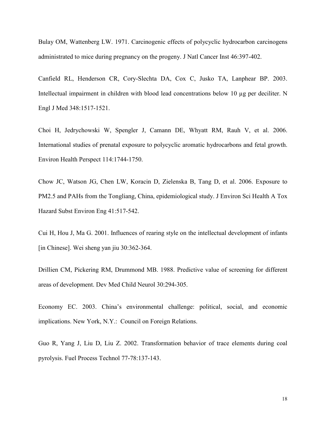Bulay OM, Wattenberg LW. 1971. Carcinogenic effects of polycyclic hydrocarbon carcinogens administrated to mice during pregnancy on the progeny. J Natl Cancer Inst 46:397-402.

Canfield RL, Henderson CR, Cory-Slechta DA, Cox C, Jusko TA, Lanphear BP. 2003. Intellectual impairment in children with blood lead concentrations below 10 µg per deciliter. N Engl J Med 348:1517-1521.

Choi H, Jedrychowski W, Spengler J, Camann DE, Whyatt RM, Rauh V, et al. 2006. International studies of prenatal exposure to polycyclic aromatic hydrocarbons and fetal growth. Environ Health Perspect 114:1744-1750.

Chow JC, Watson JG, Chen LW, Koracin D, Zielenska B, Tang D, et al. 2006. Exposure to PM2.5 and PAHs from the Tongliang, China, epidemiological study. J Environ Sci Health A Tox Hazard Subst Environ Eng 41:517-542.

Cui H, Hou J, Ma G. 2001. Influences of rearing style on the intellectual development of infants [in Chinese]. Wei sheng yan jiu 30:362-364.

Drillien CM, Pickering RM, Drummond MB. 1988. Predictive value of screening for different areas of development. Dev Med Child Neurol 30:294-305.

Economy EC. 2003. China's environmental challenge: political, social, and economic implications. New York, N.Y.: Council on Foreign Relations.

Guo R, Yang J, Liu D, Liu Z. 2002. Transformation behavior of trace elements during coal pyrolysis. Fuel Process Technol 77-78:137-143.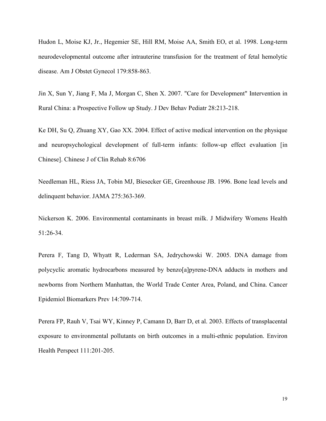Hudon L, Moise KJ, Jr., Hegemier SE, Hill RM, Moise AA, Smith EO, et al. 1998. Long-term neurodevelopmental outcome after intrauterine transfusion for the treatment of fetal hemolytic disease. Am J Obstet Gynecol 179:858-863.

Jin X, Sun Y, Jiang F, Ma J, Morgan C, Shen X. 2007. "Care for Development" Intervention in Rural China: a Prospective Follow up Study. J Dev Behav Pediatr 28:213-218.

Ke DH, Su Q, Zhuang XY, Gao XX. 2004. Effect of active medical intervention on the physique and neuropsychological development of full-term infants: follow-up effect evaluation [in Chinese]. Chinese J of Clin Rehab 8:6706

Needleman HL, Riess JA, Tobin MJ, Biesecker GE, Greenhouse JB. 1996. Bone lead levels and delinquent behavior. JAMA 275:363-369.

Nickerson K. 2006. Environmental contaminants in breast milk. J Midwifery Womens Health 51:26-34.

Perera F, Tang D, Whyatt R, Lederman SA, Jedrychowski W. 2005. DNA damage from polycyclic aromatic hydrocarbons measured by benzo[a]pyrene-DNA adducts in mothers and newborns from Northern Manhattan, the World Trade Center Area, Poland, and China. Cancer Epidemiol Biomarkers Prev 14:709-714.

Perera FP, Rauh V, Tsai WY, Kinney P, Camann D, Barr D, et al. 2003. Effects of transplacental exposure to environmental pollutants on birth outcomes in a multi-ethnic population. Environ Health Perspect 111:201-205.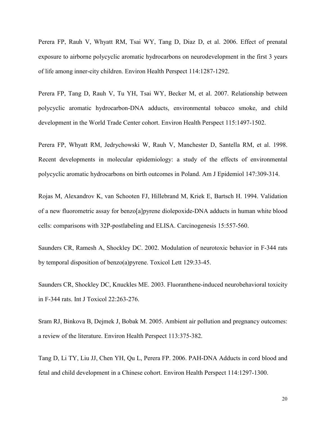Perera FP, Rauh V, Whyatt RM, Tsai WY, Tang D, Diaz D, et al. 2006. Effect of prenatal exposure to airborne polycyclic aromatic hydrocarbons on neurodevelopment in the first 3 years of life among inner-city children. Environ Health Perspect 114:1287-1292.

Perera FP, Tang D, Rauh V, Tu YH, Tsai WY, Becker M, et al. 2007. Relationship between polycyclic aromatic hydrocarbon-DNA adducts, environmental tobacco smoke, and child development in the World Trade Center cohort. Environ Health Perspect 115:1497-1502.

Perera FP, Whyatt RM, Jedrychowski W, Rauh V, Manchester D, Santella RM, et al. 1998. Recent developments in molecular epidemiology: a study of the effects of environmental polycyclic aromatic hydrocarbons on birth outcomes in Poland. Am J Epidemiol 147:309-314.

Rojas M, Alexandrov K, van Schooten FJ, Hillebrand M, Kriek E, Bartsch H. 1994. Validation of a new fluorometric assay for benzo[a]pyrene diolepoxide-DNA adducts in human white blood cells: comparisons with 32P-postlabeling and ELISA. Carcinogenesis 15:557-560.

Saunders CR, Ramesh A, Shockley DC. 2002. Modulation of neurotoxic behavior in F-344 rats by temporal disposition of benzo(a)pyrene. Toxicol Lett 129:33-45.

Saunders CR, Shockley DC, Knuckles ME. 2003. Fluoranthene-induced neurobehavioral toxicity in F-344 rats. Int J Toxicol 22:263-276.

Sram RJ, Binkova B, Dejmek J, Bobak M. 2005. Ambient air pollution and pregnancy outcomes: a review of the literature. Environ Health Perspect 113:375-382.

Tang D, Li TY, Liu JJ, Chen YH, Qu L, Perera FP. 2006. PAH-DNA Adducts in cord blood and fetal and child development in a Chinese cohort. Environ Health Perspect 114:1297-1300.

20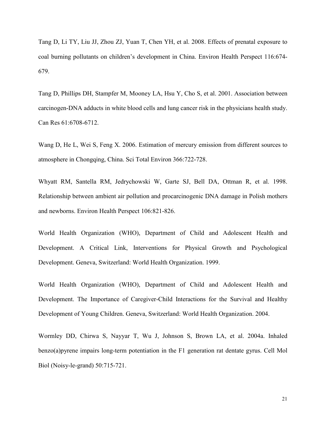Tang D, Li TY, Liu JJ, Zhou ZJ, Yuan T, Chen YH, et al. 2008. Effects of prenatal exposure to coal burning pollutants on children's development in China. Environ Health Perspect 116:674- 679.

Tang D, Phillips DH, Stampfer M, Mooney LA, Hsu Y, Cho S, et al. 2001. Association between carcinogen-DNA adducts in white blood cells and lung cancer risk in the physicians health study. Can Res 61:6708-6712.

Wang D, He L, Wei S, Feng X. 2006. Estimation of mercury emission from different sources to atmosphere in Chongqing, China. Sci Total Environ 366:722-728.

Whyatt RM, Santella RM, Jedrychowski W, Garte SJ, Bell DA, Ottman R, et al. 1998. Relationship between ambient air pollution and procarcinogenic DNA damage in Polish mothers and newborns. Environ Health Perspect 106:821-826.

World Health Organization (WHO), Department of Child and Adolescent Health and Development. A Critical Link, Interventions for Physical Growth and Psychological Development. Geneva, Switzerland: World Health Organization. 1999.

World Health Organization (WHO), Department of Child and Adolescent Health and Development. The Importance of Caregiver-Child Interactions for the Survival and Healthy Development of Young Children. Geneva, Switzerland: World Health Organization. 2004.

Wormley DD, Chirwa S, Nayyar T, Wu J, Johnson S, Brown LA, et al. 2004a. Inhaled benzo(a)pyrene impairs long-term potentiation in the F1 generation rat dentate gyrus. Cell Mol Biol (Noisy-le-grand) 50:715-721.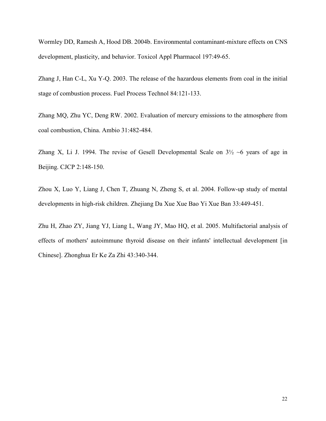Wormley DD, Ramesh A, Hood DB. 2004b. Environmental contaminant-mixture effects on CNS development, plasticity, and behavior. Toxicol Appl Pharmacol 197:49-65.

Zhang J, Han C-L, Xu Y-Q. 2003. The release of the hazardous elements from coal in the initial stage of combustion process. Fuel Process Technol 84:121-133.

Zhang MQ, Zhu YC, Deng RW. 2002. Evaluation of mercury emissions to the atmosphere from coal combustion, China. Ambio 31:482-484.

Zhang X, Li J. 1994. The revise of Gesell Developmental Scale on  $3\frac{1}{2}$  ~6 years of age in Beijing. CJCP 2:148-150.

Zhou X, Luo Y, Liang J, Chen T, Zhuang N, Zheng S, et al. 2004. Follow-up study of mental developments in high-risk children. Zhejiang Da Xue Xue Bao Yi Xue Ban 33:449-451.

Zhu H, Zhao ZY, Jiang YJ, Liang L, Wang JY, Mao HQ, et al. 2005. Multifactorial analysis of effects of mothers' autoimmune thyroid disease on their infants' intellectual development [in Chinese]. Zhonghua Er Ke Za Zhi 43:340-344.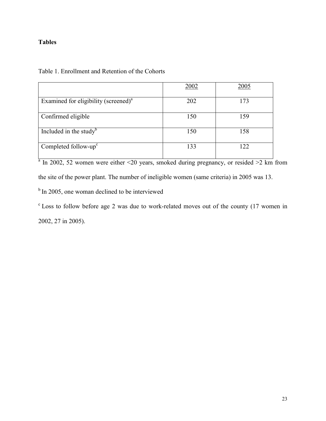## **Tables**

|  | Table 1. Enrollment and Retention of the Cohorts |  |  |  |
|--|--------------------------------------------------|--|--|--|
|--|--------------------------------------------------|--|--|--|

|                                                  | 2002 | 2005 |
|--------------------------------------------------|------|------|
| Examined for eligibility (screened) <sup>a</sup> | 202  | 173  |
| Confirmed eligible                               | 150  | 159  |
| Included in the study $\mu$                      | 150  | 158  |
| Completed follow- $upc$                          | 133  |      |

 $\frac{1}{a}$  In 2002, 52 women were either <20 years, smoked during pregnancy, or resided >2 km from

the site of the power plant. The number of ineligible women (same criteria) in 2005 was 13.

<sup>b</sup> In 2005, one woman declined to be interviewed

 $\textdegree$  Loss to follow before age 2 was due to work-related moves out of the county (17 women in 2002, 27 in 2005).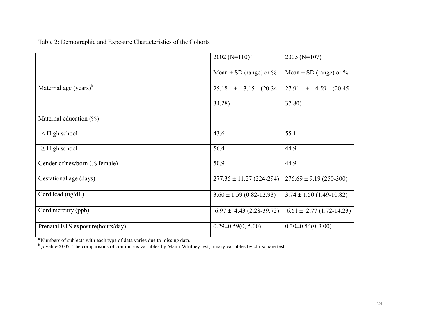|                                                          | 2002 ( $N=110$ ) <sup>a</sup> | 2005 ( $N=107$ )               |
|----------------------------------------------------------|-------------------------------|--------------------------------|
|                                                          | Mean $\pm$ SD (range) or %    | Mean $\pm$ SD (range) or %     |
| Maternal age $(years)^b$                                 | $(20.34-$<br>$25.18 \pm 3.15$ | $27.91 \pm 4.59$<br>$(20.45 -$ |
|                                                          | 34.28)                        | 37.80)                         |
| Maternal education $(\%)$                                |                               |                                |
| <high school<="" td=""><td>43.6</td><td>55.1</td></high> | 43.6                          | 55.1                           |
| $\geq$ High school                                       | 56.4                          | 44.9                           |
| Gender of newborn (% female)                             | 50.9                          | 44.9                           |
| Gestational age (days)                                   | $277.35 \pm 11.27$ (224-294)  | $276.69 \pm 9.19$ (250-300)    |
| Cord lead (ug/dL)                                        | $3.60 \pm 1.59$ (0.82-12.93)  | $3.74 \pm 1.50$ (1.49-10.82)   |
| Cord mercury (ppb)                                       | $6.97 \pm 4.43$ (2.28-39.72)  | $6.61 \pm 2.77(1.72 - 14.23)$  |
| Prenatal ETS exposure(hours/day)                         | $0.29 \pm 0.59(0, 5.00)$      | $0.30\pm0.54(0-3.00)$          |

Table 2: Demographic and Exposure Characteristics of the Cohorts

<sup>a</sup> Numbers of subjects with each type of data varies due to missing data.<br><sup>b</sup> *p*-value<0.05. The comparisons of continuous variables by Mann-Whitney test; binary variables by chi-square test.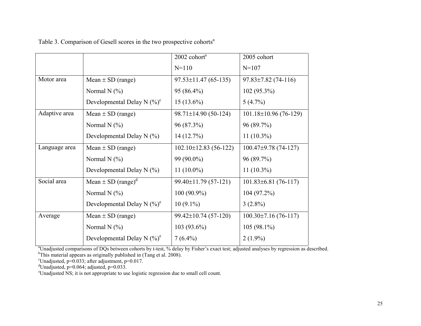|               |                                    | $2002$ cohort <sup>b</sup>  | 2005 cohort                 |
|---------------|------------------------------------|-----------------------------|-----------------------------|
|               |                                    | $N = 110$                   | $N = 107$                   |
| Motor area    | Mean $\pm$ SD (range)              | $97.53 \pm 11.47$ (65-135)  | $97.83 \pm 7.82$ (74-116)   |
|               | Normal N $(\% )$                   | 95 (86.4%)                  | $102(95.3\%)$               |
|               | Developmental Delay N $(\%)^c$     | $15(13.6\%)$                | $5(4.7\%)$                  |
| Adaptive area | Mean $\pm$ SD (range)              | $98.71 \pm 14.90(50-124)$   | $101.18 \pm 10.96$ (76-129) |
|               | Normal N $(\% )$                   | 96 (87.3%)                  | 96 (89.7%)                  |
|               | Developmental Delay N $(\% )$      | 14 (12.7%)                  | $11(10.3\%)$                |
| Language area | Mean $\pm$ SD (range)              | $102.10 \pm 12.83$ (56-122) | $100.47\pm9.78(74-127)$     |
|               | Normal N $(\% )$                   | 99 (90.0%)                  | 96 (89.7%)                  |
|               | Developmental Delay N $(\% )$      | $11(10.0\%)$                | $11(10.3\%)$                |
| Social area   | Mean $\pm$ SD (range) <sup>d</sup> | 99.40±11.79 (57-121)        | $101.83 \pm 6.81$ (76-117)  |
|               | Normal N $(\% )$                   | $100(90.9\%)$               | $104(97.2\%)$               |
|               | Developmental Delay N $(\%)^e$     | $10(9.1\%)$                 | $3(2.8\%)$                  |
| Average       | Mean $\pm$ SD (range)              | $99.42 \pm 10.74(57-120)$   | $100.30 \pm 7.16(76-117)$   |
|               | Normal N $(\% )$                   | $103(93.6\%)$               | $105(98.1\%)$               |
|               | Developmental Delay N $(\%)^e$     | $7(6.4\%)$                  | $2(1.9\%)$                  |

Table 3. Comparison of Gesell scores in the two prospective cohorts<sup>a</sup>

<sup>a</sup>Unadjusted comparisons of DQs between cohorts by t-test, % delay by Fisher's exact test; adjusted analyses by regression as described. **b**This meterial appears as originally published in (Tape at al. 2009). <sup>b</sup>This material appears as originally published in (Tang et al. 2008).

 $\text{Unadjusted}, \text{p=0.033}; \text{after adjustment}, \text{p=0.017}.$ 

<sup>d</sup>Unadjusted, p= $0.064$ ; adjusted, p= $0.033$ .

<sup>e</sup>Unadjusted NS; it is not appropriate to use logistic regression due to small cell count.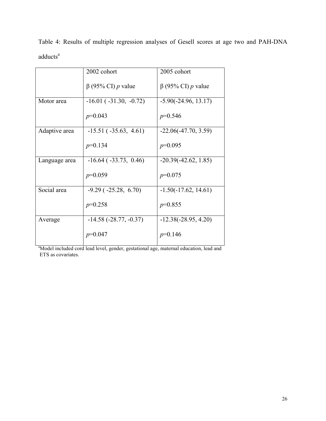|               | 2002 cohort                     | 2005 cohort              |
|---------------|---------------------------------|--------------------------|
|               | $\beta$ (95% CI) p value        | $\beta$ (95% CI) p value |
| Motor area    | $-16.01$ ( $-31.30$ , $-0.72$ ) | $-5.90(-24.96, 13.17)$   |
|               | $p=0.043$                       | $p=0.546$                |
| Adaptive area | $-15.51$ ( $-35.63$ , $4.61$ )  | $-22.06(-47.70, 3.59)$   |
|               | $p=0.134$                       | $p=0.095$                |
| Language area | $-16.64$ ( $-33.73$ , 0.46)     | $-20.39(-42.62, 1.85)$   |
|               | $p=0.059$                       | $p=0.075$                |
| Social area   | $-9.29$ ( $-25.28$ , 6.70)      | $-1.50(-17.62, 14.61)$   |
|               | $p=0.258$                       | $p=0.855$                |
| Average       | $-14.58$ ( $-28.77$ , $-0.37$ ) | $-12.38(-28.95, 4.20)$   |
|               | $p=0.047$                       | $p=0.146$                |

Table 4: Results of multiple regression analyses of Gesell scores at age two and PAH-DNA adducts a

<sup>a</sup>Model included cord lead level, gender, gestational age, maternal education, lead and ETS as covariates.